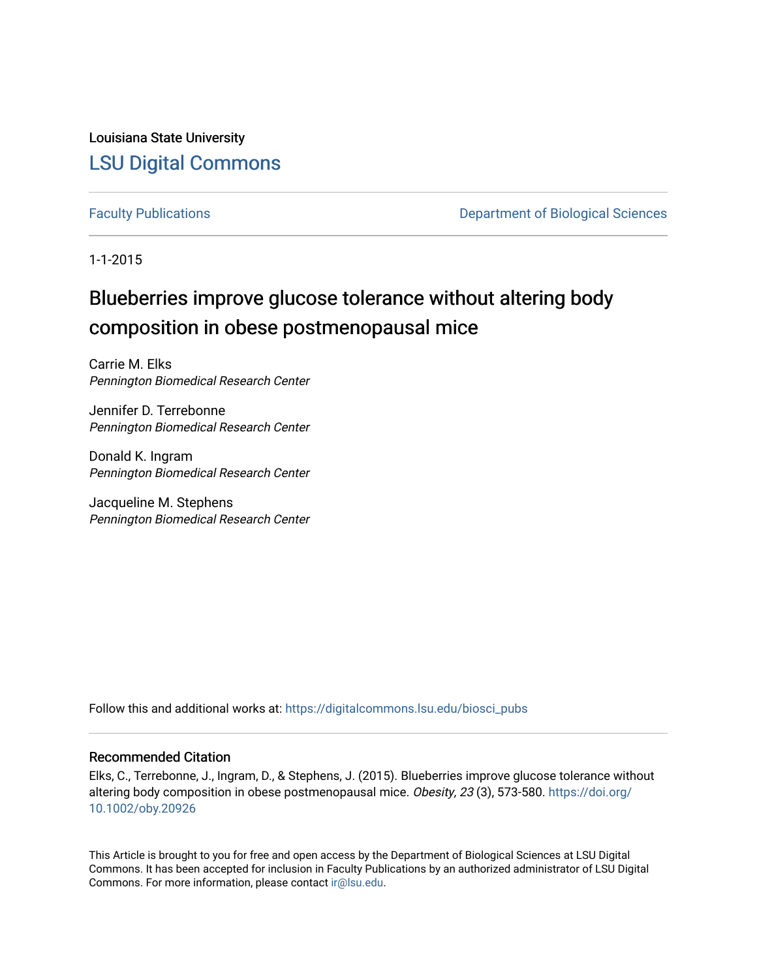Louisiana State University [LSU Digital Commons](https://digitalcommons.lsu.edu/)

[Faculty Publications](https://digitalcommons.lsu.edu/biosci_pubs) **Exercise 2 and Table 2 and Table 2 and Table 2 and Table 2 and Table 2 and Table 2 and Table 2 and Table 2 and Table 2 and Table 2 and Table 2 and Table 2 and Table 2 and Table 2 and Table 2 and Table** 

1-1-2015

# Blueberries improve glucose tolerance without altering body composition in obese postmenopausal mice

Carrie M. Elks Pennington Biomedical Research Center

Jennifer D. Terrebonne Pennington Biomedical Research Center

Donald K. Ingram Pennington Biomedical Research Center

Jacqueline M. Stephens Pennington Biomedical Research Center

Follow this and additional works at: [https://digitalcommons.lsu.edu/biosci\\_pubs](https://digitalcommons.lsu.edu/biosci_pubs?utm_source=digitalcommons.lsu.edu%2Fbiosci_pubs%2F3263&utm_medium=PDF&utm_campaign=PDFCoverPages)

## Recommended Citation

Elks, C., Terrebonne, J., Ingram, D., & Stephens, J. (2015). Blueberries improve glucose tolerance without altering body composition in obese postmenopausal mice. Obesity, 23 (3), 573-580. [https://doi.org/](https://doi.org/10.1002/oby.20926) [10.1002/oby.20926](https://doi.org/10.1002/oby.20926) 

This Article is brought to you for free and open access by the Department of Biological Sciences at LSU Digital Commons. It has been accepted for inclusion in Faculty Publications by an authorized administrator of LSU Digital Commons. For more information, please contact [ir@lsu.edu](mailto:ir@lsu.edu).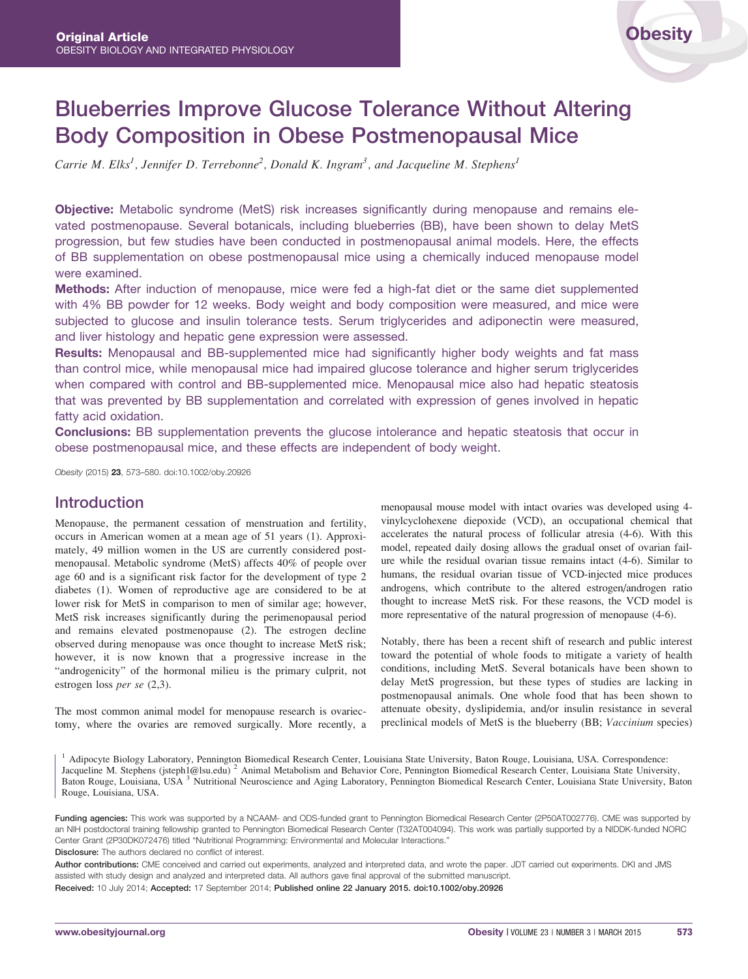# Blueberries Improve Glucose Tolerance Without Altering Body Composition in Obese Postmenopausal Mice

Carrie M. Elks<sup>1</sup>, Jennifer D. Terrebonne<sup>2</sup>, Donald K. Ingram<sup>3</sup>, and Jacqueline M. Stephens<sup>1</sup>

**Objective:** Metabolic syndrome (MetS) risk increases significantly during menopause and remains elevated postmenopause. Several botanicals, including blueberries (BB), have been shown to delay MetS progression, but few studies have been conducted in postmenopausal animal models. Here, the effects of BB supplementation on obese postmenopausal mice using a chemically induced menopause model were examined.

Methods: After induction of menopause, mice were fed a high-fat diet or the same diet supplemented with 4% BB powder for 12 weeks. Body weight and body composition were measured, and mice were subjected to glucose and insulin tolerance tests. Serum triglycerides and adiponectin were measured, and liver histology and hepatic gene expression were assessed.

**Results:** Menopausal and BB-supplemented mice had significantly higher body weights and fat mass than control mice, while menopausal mice had impaired glucose tolerance and higher serum triglycerides when compared with control and BB-supplemented mice. Menopausal mice also had hepatic steatosis that was prevented by BB supplementation and correlated with expression of genes involved in hepatic fatty acid oxidation.

Conclusions: BB supplementation prevents the glucose intolerance and hepatic steatosis that occur in obese postmenopausal mice, and these effects are independent of body weight.

Obesity (2015) 23, 573–580. doi:10.1002/oby.20926

# Introduction

Menopause, the permanent cessation of menstruation and fertility, occurs in American women at a mean age of 51 years (1). Approximately, 49 million women in the US are currently considered postmenopausal. Metabolic syndrome (MetS) affects 40% of people over age 60 and is a significant risk factor for the development of type 2 diabetes (1). Women of reproductive age are considered to be at lower risk for MetS in comparison to men of similar age; however, MetS risk increases significantly during the perimenopausal period and remains elevated postmenopause (2). The estrogen decline observed during menopause was once thought to increase MetS risk; however, it is now known that a progressive increase in the "androgenicity" of the hormonal milieu is the primary culprit, not estrogen loss per se (2,3).

The most common animal model for menopause research is ovariectomy, where the ovaries are removed surgically. More recently, a menopausal mouse model with intact ovaries was developed using 4 vinylcyclohexene diepoxide (VCD), an occupational chemical that accelerates the natural process of follicular atresia (4-6). With this model, repeated daily dosing allows the gradual onset of ovarian failure while the residual ovarian tissue remains intact (4-6). Similar to humans, the residual ovarian tissue of VCD-injected mice produces androgens, which contribute to the altered estrogen/androgen ratio thought to increase MetS risk. For these reasons, the VCD model is more representative of the natural progression of menopause (4-6).

Notably, there has been a recent shift of research and public interest toward the potential of whole foods to mitigate a variety of health conditions, including MetS. Several botanicals have been shown to delay MetS progression, but these types of studies are lacking in postmenopausal animals. One whole food that has been shown to attenuate obesity, dyslipidemia, and/or insulin resistance in several preclinical models of MetS is the blueberry (BB; Vaccinium species)

<sup>1</sup> Adipocyte Biology Laboratory, Pennington Biomedical Research Center, Louisiana State University, Baton Rouge, Louisiana, USA. Correspondence: Jacqueline M. Stephens (jsteph1@lsu.edu)<sup>2</sup> Animal Metabolism and Behavior Core, Pennington Biomedical Research Center, Louisiana State University, Baton Rouge, Louisiana, USA <sup>3</sup> Nutritional Neuroscience and Aging Laboratory, Pennington Biomedical Research Center, Louisiana State University, Baton Rouge, Louisiana, USA.

Funding agencies: This work was supported by a NCAAM- and ODS-funded grant to Pennington Biomedical Research Center (2P50AT002776). CME was supported by an NIH postdoctoral training fellowship granted to Pennington Biomedical Research Center (T32AT004094). This work was partially supported by a NIDDK-funded NORC Center Grant (2P30DK072476) titled "Nutritional Programming: Environmental and Molecular Interactions."

Disclosure: The authors declared no conflict of interest.

Author contributions: CME conceived and carried out experiments, analyzed and interpreted data, and wrote the paper. JDT carried out experiments. DKI and JMS assisted with study design and analyzed and interpreted data. All authors gave final approval of the submitted manuscript. Received: 10 July 2014; Accepted: 17 September 2014; Published online 22 January 2015. doi:10.1002/oby.20926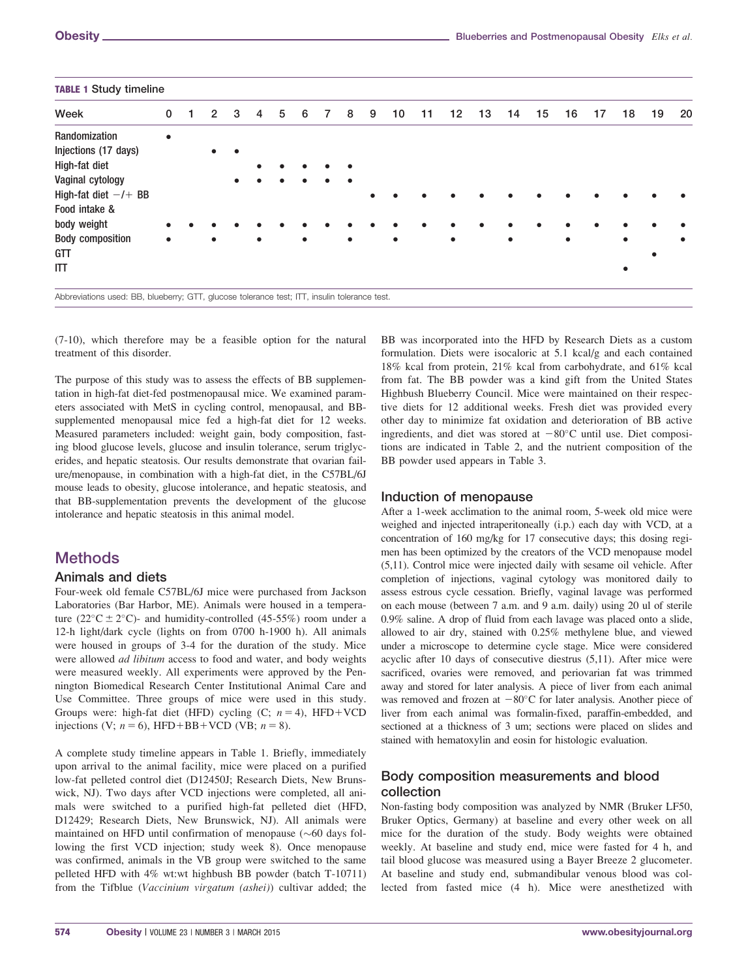| <b>TABLE 1 Study timeline</b> |           |   |                       |   |   |   |           |   |           |   |    |    |           |    |           |    |           |    |           |    |    |
|-------------------------------|-----------|---|-----------------------|---|---|---|-----------|---|-----------|---|----|----|-----------|----|-----------|----|-----------|----|-----------|----|----|
| Week                          | 0         | 1 | $\mathbf{2}^{\prime}$ | 3 | 4 | 5 | 6         | 7 | 8         | 9 | 10 | 11 | $12 \,$   | 13 | 14        | 15 | 16        | 17 | 18        | 19 | 20 |
| Randomization                 | $\bullet$ |   |                       |   |   |   |           |   |           |   |    |    |           |    |           |    |           |    |           |    |    |
| Injections (17 days)          |           |   |                       |   |   |   |           |   |           |   |    |    |           |    |           |    |           |    |           |    |    |
| High-fat diet                 |           |   |                       |   |   |   |           |   |           |   |    |    |           |    |           |    |           |    |           |    |    |
| Vaginal cytology              |           |   |                       |   |   |   |           |   |           |   |    |    |           |    |           |    |           |    |           |    |    |
| High-fat diet $-/+$ BB        |           |   |                       |   |   |   |           |   |           |   |    |    |           |    |           |    |           |    |           |    |    |
| Food intake &                 |           |   |                       |   |   |   |           |   |           |   |    |    |           |    |           |    |           |    |           |    |    |
| body weight                   |           |   |                       |   |   |   |           |   |           |   |    |    |           |    |           |    |           |    |           |    |    |
| <b>Body composition</b>       | $\bullet$ |   | $\bullet$             |   | ٠ |   | $\bullet$ |   | $\bullet$ |   | ٠  |    | $\bullet$ |    | $\bullet$ |    | $\bullet$ |    | $\bullet$ |    | ٠  |
| <b>GTT</b>                    |           |   |                       |   |   |   |           |   |           |   |    |    |           |    |           |    |           |    |           |    |    |
| ITT                           |           |   |                       |   |   |   |           |   |           |   |    |    |           |    |           |    |           |    | ٠         |    |    |

(7-10), which therefore may be a feasible option for the natural treatment of this disorder.

The purpose of this study was to assess the effects of BB supplementation in high-fat diet-fed postmenopausal mice. We examined parameters associated with MetS in cycling control, menopausal, and BBsupplemented menopausal mice fed a high-fat diet for 12 weeks. Measured parameters included: weight gain, body composition, fasting blood glucose levels, glucose and insulin tolerance, serum triglycerides, and hepatic steatosis. Our results demonstrate that ovarian failure/menopause, in combination with a high-fat diet, in the C57BL/6J mouse leads to obesity, glucose intolerance, and hepatic steatosis, and that BB-supplementation prevents the development of the glucose intolerance and hepatic steatosis in this animal model.

# **Methods**

## Animals and diets

Four-week old female C57BL/6J mice were purchased from Jackson Laboratories (Bar Harbor, ME). Animals were housed in a temperature  $(22^{\circ}C \pm 2^{\circ}C)$ - and humidity-controlled  $(45-55%)$  room under a 12-h light/dark cycle (lights on from 0700 h-1900 h). All animals were housed in groups of 3-4 for the duration of the study. Mice were allowed *ad libitum* access to food and water, and body weights were measured weekly. All experiments were approved by the Pennington Biomedical Research Center Institutional Animal Care and Use Committee. Three groups of mice were used in this study. Groups were: high-fat diet (HFD) cycling (C;  $n = 4$ ), HFD+VCD injections (V;  $n = 6$ ), HFD+BB+VCD (VB;  $n = 8$ ).

A complete study timeline appears in Table 1. Briefly, immediately upon arrival to the animal facility, mice were placed on a purified low-fat pelleted control diet (D12450J; Research Diets, New Brunswick, NJ). Two days after VCD injections were completed, all animals were switched to a purified high-fat pelleted diet (HFD, D12429; Research Diets, New Brunswick, NJ). All animals were maintained on HFD until confirmation of menopause  $(\sim 60 \text{ days fol}$ lowing the first VCD injection; study week 8). Once menopause was confirmed, animals in the VB group were switched to the same pelleted HFD with 4% wt:wt highbush BB powder (batch T-10711) from the Tifblue (Vaccinium virgatum (ashei)) cultivar added; the BB was incorporated into the HFD by Research Diets as a custom formulation. Diets were isocaloric at 5.1 kcal/g and each contained 18% kcal from protein, 21% kcal from carbohydrate, and 61% kcal from fat. The BB powder was a kind gift from the United States Highbush Blueberry Council. Mice were maintained on their respective diets for 12 additional weeks. Fresh diet was provided every other day to minimize fat oxidation and deterioration of BB active ingredients, and diet was stored at  $-80^{\circ}$ C until use. Diet compositions are indicated in Table 2, and the nutrient composition of the BB powder used appears in Table 3.

# Induction of menopause

After a 1-week acclimation to the animal room, 5-week old mice were weighed and injected intraperitoneally (i.p.) each day with VCD, at a concentration of 160 mg/kg for 17 consecutive days; this dosing regimen has been optimized by the creators of the VCD menopause model (5,11). Control mice were injected daily with sesame oil vehicle. After completion of injections, vaginal cytology was monitored daily to assess estrous cycle cessation. Briefly, vaginal lavage was performed on each mouse (between 7 a.m. and 9 a.m. daily) using 20 ul of sterile 0.9% saline. A drop of fluid from each lavage was placed onto a slide, allowed to air dry, stained with 0.25% methylene blue, and viewed under a microscope to determine cycle stage. Mice were considered acyclic after 10 days of consecutive diestrus (5,11). After mice were sacrificed, ovaries were removed, and periovarian fat was trimmed away and stored for later analysis. A piece of liver from each animal was removed and frozen at  $-80^{\circ}$ C for later analysis. Another piece of liver from each animal was formalin-fixed, paraffin-embedded, and sectioned at a thickness of 3 um; sections were placed on slides and stained with hematoxylin and eosin for histologic evaluation.

# Body composition measurements and blood collection

Non-fasting body composition was analyzed by NMR (Bruker LF50, Bruker Optics, Germany) at baseline and every other week on all mice for the duration of the study. Body weights were obtained weekly. At baseline and study end, mice were fasted for 4 h, and tail blood glucose was measured using a Bayer Breeze 2 glucometer. At baseline and study end, submandibular venous blood was collected from fasted mice (4 h). Mice were anesthetized with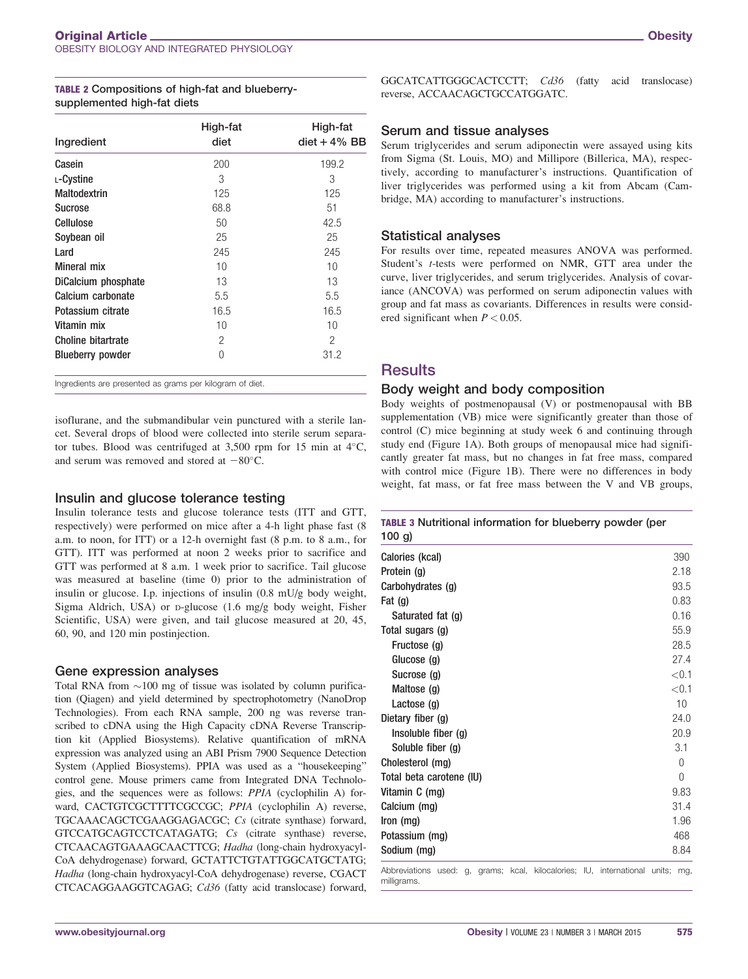| <b>TABLE 2 Compositions of high-fat and blueberry-</b> |  |  |
|--------------------------------------------------------|--|--|
| supplemented high-fat diets                            |  |  |

| Ingredient                | High-fat<br>diet | High-fat<br>$\text{dist} + 4\% \text{ BB}$ |
|---------------------------|------------------|--------------------------------------------|
| Casein                    | 200              | 199.2                                      |
| L-Cystine                 | 3                | 3                                          |
| Maltodextrin              | 125              | 125                                        |
| <b>Sucrose</b>            | 68.8             | 51                                         |
| Cellulose                 | 50               | 42.5                                       |
| Soybean oil               | 25               | 25                                         |
| Lard                      | 245              | 245                                        |
| Mineral mix               | 10               | 10                                         |
| DiCalcium phosphate       | 13               | 13                                         |
| Calcium carbonate         | 5.5              | 5.5                                        |
| Potassium citrate         | 16.5             | 16.5                                       |
| Vitamin mix               | 10               | 10                                         |
| <b>Choline bitartrate</b> | 2                | $\mathcal{P}$                              |
| <b>Blueberry powder</b>   | 0                | 31.2                                       |

Ingredients are presented as grams per kilogram of diet.

isoflurane, and the submandibular vein punctured with a sterile lancet. Several drops of blood were collected into sterile serum separator tubes. Blood was centrifuged at  $3,500$  rpm for 15 min at  $4^{\circ}$ C, and serum was removed and stored at  $-80^{\circ}$ C.

#### Insulin and glucose tolerance testing

Insulin tolerance tests and glucose tolerance tests (ITT and GTT, respectively) were performed on mice after a 4-h light phase fast (8 a.m. to noon, for ITT) or a 12-h overnight fast (8 p.m. to 8 a.m., for GTT). ITT was performed at noon 2 weeks prior to sacrifice and GTT was performed at 8 a.m. 1 week prior to sacrifice. Tail glucose was measured at baseline (time 0) prior to the administration of insulin or glucose. I.p. injections of insulin (0.8 mU/g body weight, Sigma Aldrich, USA) or D-glucose (1.6 mg/g body weight, Fisher Scientific, USA) were given, and tail glucose measured at 20, 45, 60, 90, and 120 min postinjection.

#### Gene expression analyses

Total RNA from  $\sim$ 100 mg of tissue was isolated by column purification (Qiagen) and yield determined by spectrophotometry (NanoDrop Technologies). From each RNA sample, 200 ng was reverse transcribed to cDNA using the High Capacity cDNA Reverse Transcription kit (Applied Biosystems). Relative quantification of mRNA expression was analyzed using an ABI Prism 7900 Sequence Detection System (Applied Biosystems). PPIA was used as a "housekeeping" control gene. Mouse primers came from Integrated DNA Technologies, and the sequences were as follows: PPIA (cyclophilin A) forward, CACTGTCGCTTTTCGCCGC; PPIA (cyclophilin A) reverse, TGCAAACAGCTCGAAGGAGACGC; Cs (citrate synthase) forward, GTCCATGCAGTCCTCATAGATG; Cs (citrate synthase) reverse, CTCAACAGTGAAAGCAACTTCG; Hadha (long-chain hydroxyacyl-CoA dehydrogenase) forward, GCTATTCTGTATTGGCATGCTATG; Hadha (long-chain hydroxyacyl-CoA dehydrogenase) reverse, CGACT CTCACAGGAAGGTCAGAG; Cd36 (fatty acid translocase) forward,

GGCATCATTGGGCACTCCTT; Cd36 (fatty acid translocase) reverse, ACCAACAGCTGCCATGGATC.

#### Serum and tissue analyses

Serum triglycerides and serum adiponectin were assayed using kits from Sigma (St. Louis, MO) and Millipore (Billerica, MA), respectively, according to manufacturer's instructions. Quantification of liver triglycerides was performed using a kit from Abcam (Cambridge, MA) according to manufacturer's instructions.

#### Statistical analyses

For results over time, repeated measures ANOVA was performed. Student's t-tests were performed on NMR, GTT area under the curve, liver triglycerides, and serum triglycerides. Analysis of covariance (ANCOVA) was performed on serum adiponectin values with group and fat mass as covariants. Differences in results were considered significant when  $P < 0.05$ .

## **Results**

#### Body weight and body composition

Body weights of postmenopausal (V) or postmenopausal with BB supplementation (VB) mice were significantly greater than those of control (C) mice beginning at study week 6 and continuing through study end (Figure 1A). Both groups of menopausal mice had significantly greater fat mass, but no changes in fat free mass, compared with control mice (Figure 1B). There were no differences in body weight, fat mass, or fat free mass between the V and VB groups,

| <b>TABLE 3 Nutritional information for blueberry powder (per</b> |  |  |  |
|------------------------------------------------------------------|--|--|--|
| 100 q                                                            |  |  |  |

| Calories (kcal)          | 390      |
|--------------------------|----------|
| Protein (g)              | 2.18     |
| Carbohydrates (g)        | 93.5     |
| Fat $(q)$                | 0.83     |
| Saturated fat (g)        | 0.16     |
| Total sugars (g)         | 55.9     |
| Fructose (g)             | 28.5     |
| Glucose (g)              | 27.4     |
| Sucrose (g)              | ${<}0.1$ |
| Maltose (g)              | ${<}0.1$ |
| Lactose (g)              | 10       |
| Dietary fiber (g)        | 24.0     |
| Insoluble fiber (g)      | 20.9     |
| Soluble fiber (q)        | 3.1      |
| Cholesterol (mg)         | $\Omega$ |
| Total beta carotene (IU) | $\Omega$ |
| Vitamin C (mg)           | 9.83     |
| Calcium (mg)             | 31.4     |
| Iron (mg)                | 1.96     |
| Potassium (mg)           | 468      |
| Sodium (mg)              | 8.84     |

Abbreviations used: g, grams; kcal, kilocalories; IU, international units; mg, milligrams.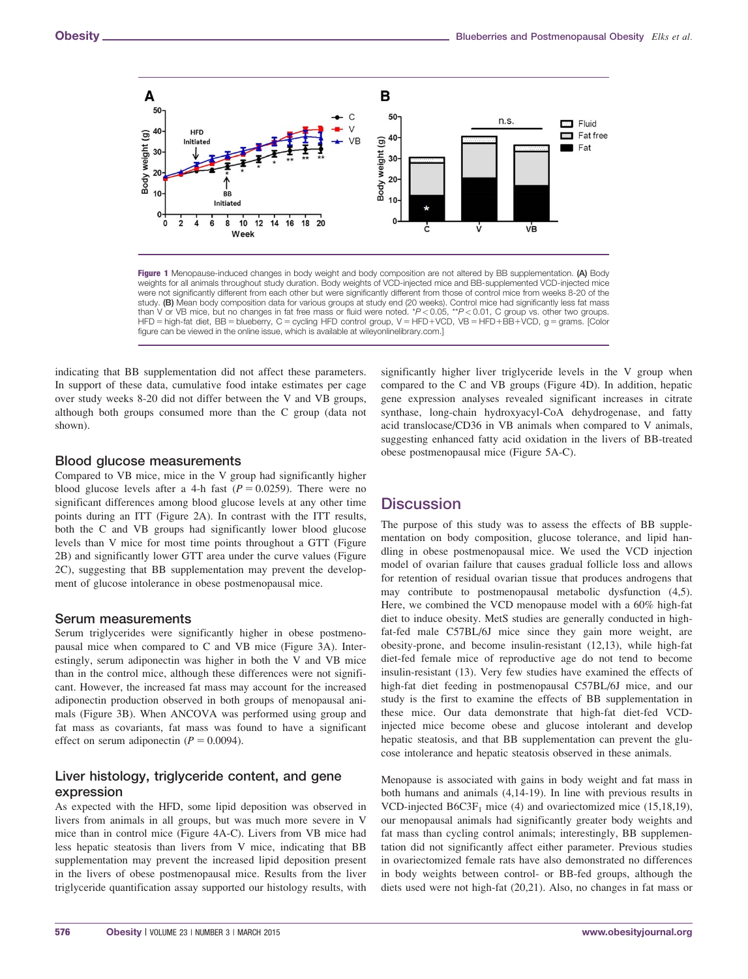

Figure 1 Menopause-induced changes in body weight and body composition are not altered by BB supplementation. (A) Body weights for all animals throughout study duration. Body weights of VCD-injected mice and BB-supplemented VCD-injected mice were not significantly different from each other but were significantly different from those of control mice from weeks 8-20 of the study. (B) Mean body composition data for various groups at study end (20 weeks). Control mice had significantly less fat mass than V or VB mice, but no changes in fat free mass or fluid were noted.  $*P < 0.05$ ,  $*P < 0.01$ , C group vs. other two groups. HFD = high-fat diet, BB = blueberry, C = cycling HFD control group, V = HFD+VCD, VB = HFD+BB+VCD, g = grams. [Color figure can be viewed in the online issue, which is available at [wileyonlinelibrary.com.](http://wileyonlinelibrary.com)]

indicating that BB supplementation did not affect these parameters. In support of these data, cumulative food intake estimates per cage over study weeks 8-20 did not differ between the V and VB groups, although both groups consumed more than the C group (data not shown).

#### Blood glucose measurements

Compared to VB mice, mice in the V group had significantly higher blood glucose levels after a 4-h fast ( $P = 0.0259$ ). There were no significant differences among blood glucose levels at any other time points during an ITT (Figure 2A). In contrast with the ITT results, both the C and VB groups had significantly lower blood glucose levels than V mice for most time points throughout a GTT (Figure 2B) and significantly lower GTT area under the curve values (Figure 2C), suggesting that BB supplementation may prevent the development of glucose intolerance in obese postmenopausal mice.

## Serum measurements

Serum triglycerides were significantly higher in obese postmenopausal mice when compared to C and VB mice (Figure 3A). Interestingly, serum adiponectin was higher in both the V and VB mice than in the control mice, although these differences were not significant. However, the increased fat mass may account for the increased adiponectin production observed in both groups of menopausal animals (Figure 3B). When ANCOVA was performed using group and fat mass as covariants, fat mass was found to have a significant effect on serum adiponectin ( $P = 0.0094$ ).

## Liver histology, triglyceride content, and gene expression

As expected with the HFD, some lipid deposition was observed in livers from animals in all groups, but was much more severe in V mice than in control mice (Figure 4A-C). Livers from VB mice had less hepatic steatosis than livers from V mice, indicating that BB supplementation may prevent the increased lipid deposition present in the livers of obese postmenopausal mice. Results from the liver triglyceride quantification assay supported our histology results, with

significantly higher liver triglyceride levels in the V group when compared to the C and VB groups (Figure 4D). In addition, hepatic gene expression analyses revealed significant increases in citrate synthase, long-chain hydroxyacyl-CoA dehydrogenase, and fatty acid translocase/CD36 in VB animals when compared to V animals, suggesting enhanced fatty acid oxidation in the livers of BB-treated obese postmenopausal mice (Figure 5A-C).

# **Discussion**

The purpose of this study was to assess the effects of BB supplementation on body composition, glucose tolerance, and lipid handling in obese postmenopausal mice. We used the VCD injection model of ovarian failure that causes gradual follicle loss and allows for retention of residual ovarian tissue that produces androgens that may contribute to postmenopausal metabolic dysfunction (4,5). Here, we combined the VCD menopause model with a 60% high-fat diet to induce obesity. MetS studies are generally conducted in highfat-fed male C57BL/6J mice since they gain more weight, are obesity-prone, and become insulin-resistant (12,13), while high-fat diet-fed female mice of reproductive age do not tend to become insulin-resistant (13). Very few studies have examined the effects of high-fat diet feeding in postmenopausal C57BL/6J mice, and our study is the first to examine the effects of BB supplementation in these mice. Our data demonstrate that high-fat diet-fed VCDinjected mice become obese and glucose intolerant and develop hepatic steatosis, and that BB supplementation can prevent the glucose intolerance and hepatic steatosis observed in these animals.

Menopause is associated with gains in body weight and fat mass in both humans and animals (4,14-19). In line with previous results in VCD-injected  $B6C3F_1$  mice (4) and ovariectomized mice (15,18,19), our menopausal animals had significantly greater body weights and fat mass than cycling control animals; interestingly, BB supplementation did not significantly affect either parameter. Previous studies in ovariectomized female rats have also demonstrated no differences in body weights between control- or BB-fed groups, although the diets used were not high-fat (20,21). Also, no changes in fat mass or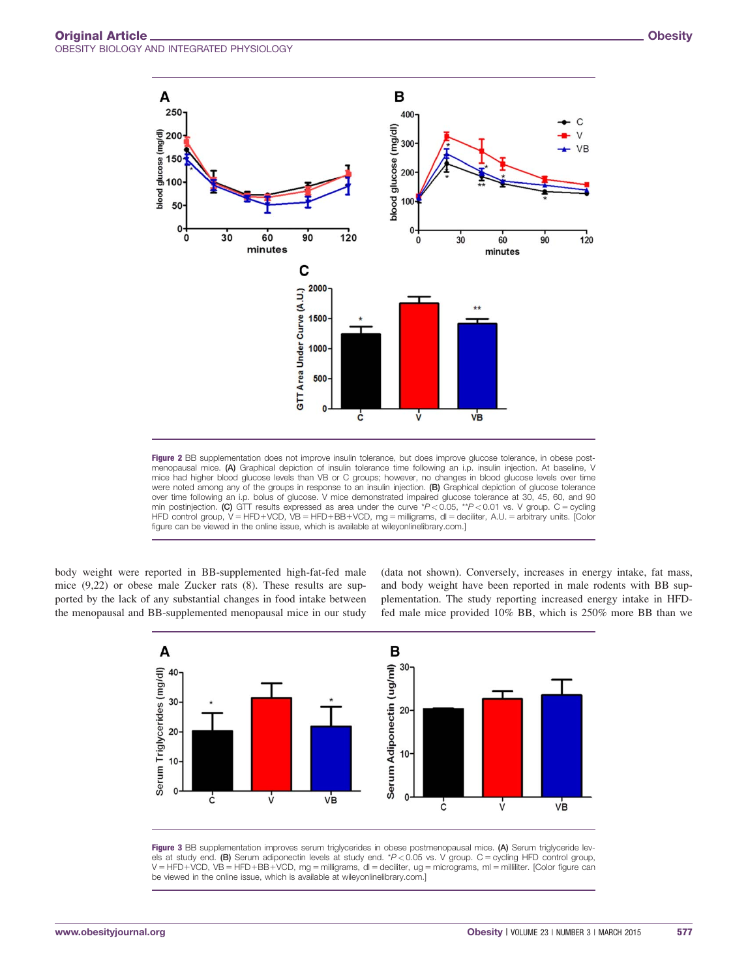

**Figure 2** BB supplementation does not improve insulin tolerance, but does improve glucose tolerance, in obese post-<br>menopausal mice. **(A)** Graphical depiction of insulin tolerance time following an i.p. insulin injection. mice had higher blood glucose levels than VB or C groups; however, no changes in blood glucose levels over time were noted among any of the groups in response to an insulin injection. (B) Graphical depiction of glucose tolerance over time following an i.p. bolus of glucose. V mice demonstrated impaired glucose tolerance at 30, 45, 60, and 90 min postinjection. (C) GTT results expressed as area under the curve  $P < 0.05$ ,  $P < 0.01$  vs. V group. C = cycling HFD control group, V = HFD+VCD, VB = HFD+BB+VCD, mg = milligrams, dl = deciliter, A.U. = arbitrary units. [Color figure can be viewed in the online issue, which is available at [wileyonlinelibrary.com](http://wileyonlinelibrary.com).]

body weight were reported in BB-supplemented high-fat-fed male mice (9,22) or obese male Zucker rats (8). These results are supported by the lack of any substantial changes in food intake between the menopausal and BB-supplemented menopausal mice in our study (data not shown). Conversely, increases in energy intake, fat mass, and body weight have been reported in male rodents with BB supplementation. The study reporting increased energy intake in HFDfed male mice provided 10% BB, which is 250% more BB than we



Figure 3 BB supplementation improves serum triglycerides in obese postmenopausal mice. (A) Serum triglyceride levels at study end. (B) Serum adiponectin levels at study end. \*P < 0.05 vs. V group. C = cycling HFD control group, V = HFD+VCD, VB = HFD+BB+VCD, mg = milligrams, dl = deciliter, ug = micrograms, ml = milliliter. [Color figure can be viewed in the online issue, which is available at [wileyonlinelibrary.com.](http://wileyonlinelibrary.com)]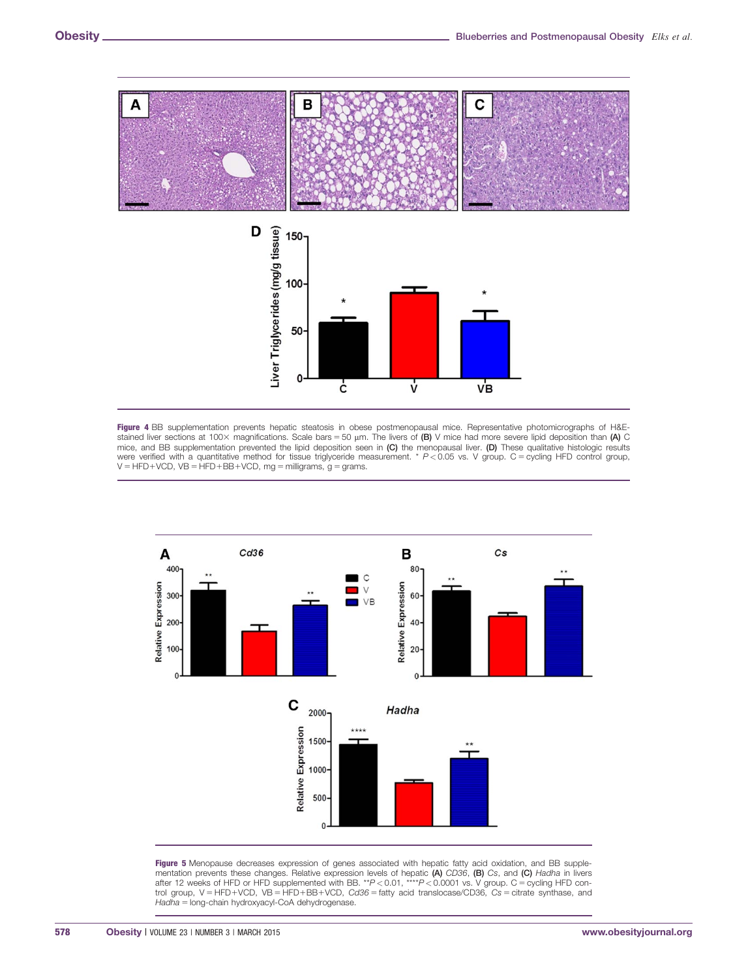

Figure 4 BB supplementation prevents hepatic steatosis in obese postmenopausal mice. Representative photomicrographs of H&Estained liver sections at 100 $\times$  magnifications. Scale bars = 50 µm. The livers of (B) V mice had more severe lipid deposition than (A) C mice, and BB supplementation prevented the lipid deposition seen in (C) the menopausal liver. (D) These qualitative histologic results were verified with a quantitative method for tissue triglyceride measurement. \*  $P < 0.05$  vs. V group. C = cycling HFD control group,  $V = HFD+VCD$ ,  $VB = HFD+BB+VCD$ ,  $mg =$  milligrams,  $g =$  grams.



Figure 5 Menopause decreases expression of genes associated with hepatic fatty acid oxidation, and BB supplementation prevents these changes. Relative expression levels of hepatic **(A)** CD36, **(B)** Cs, and **(C)** Hadha in livers<br>after 12 weeks of HFD or HFD supplemented with BB. \*\*P < 0.01, \*\*\*P < 0.0001 vs. V group. C = cycling Hadha = long-chain hydroxyacyl-CoA dehydrogenase.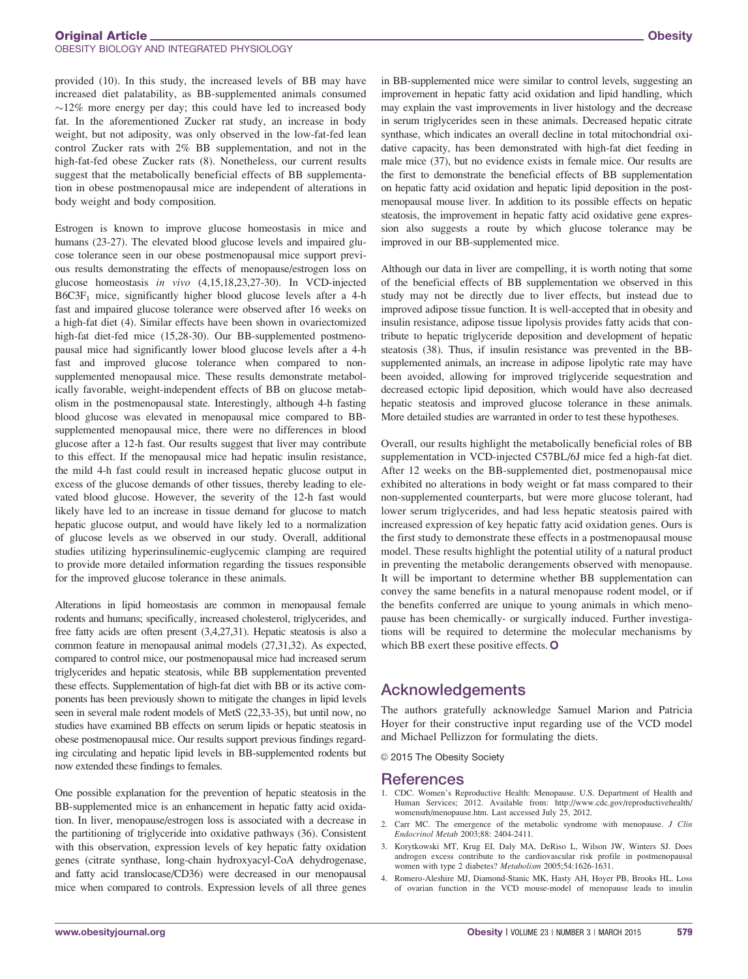provided (10). In this study, the increased levels of BB may have increased diet palatability, as BB-supplemented animals consumed  $\sim$ 12% more energy per day; this could have led to increased body fat. In the aforementioned Zucker rat study, an increase in body weight, but not adiposity, was only observed in the low-fat-fed lean control Zucker rats with 2% BB supplementation, and not in the high-fat-fed obese Zucker rats (8). Nonetheless, our current results suggest that the metabolically beneficial effects of BB supplementation in obese postmenopausal mice are independent of alterations in body weight and body composition.

Estrogen is known to improve glucose homeostasis in mice and humans (23-27). The elevated blood glucose levels and impaired glucose tolerance seen in our obese postmenopausal mice support previous results demonstrating the effects of menopause/estrogen loss on glucose homeostasis in vivo (4,15,18,23,27-30). In VCD-injected  $B6C3F<sub>1</sub>$  mice, significantly higher blood glucose levels after a 4-h fast and impaired glucose tolerance were observed after 16 weeks on a high-fat diet (4). Similar effects have been shown in ovariectomized high-fat diet-fed mice (15,28-30). Our BB-supplemented postmenopausal mice had significantly lower blood glucose levels after a 4-h fast and improved glucose tolerance when compared to nonsupplemented menopausal mice. These results demonstrate metabolically favorable, weight-independent effects of BB on glucose metabolism in the postmenopausal state. Interestingly, although 4-h fasting blood glucose was elevated in menopausal mice compared to BBsupplemented menopausal mice, there were no differences in blood glucose after a 12-h fast. Our results suggest that liver may contribute to this effect. If the menopausal mice had hepatic insulin resistance, the mild 4-h fast could result in increased hepatic glucose output in excess of the glucose demands of other tissues, thereby leading to elevated blood glucose. However, the severity of the 12-h fast would likely have led to an increase in tissue demand for glucose to match hepatic glucose output, and would have likely led to a normalization of glucose levels as we observed in our study. Overall, additional studies utilizing hyperinsulinemic-euglycemic clamping are required to provide more detailed information regarding the tissues responsible for the improved glucose tolerance in these animals.

Alterations in lipid homeostasis are common in menopausal female rodents and humans; specifically, increased cholesterol, triglycerides, and free fatty acids are often present (3,4,27,31). Hepatic steatosis is also a common feature in menopausal animal models (27,31,32). As expected, compared to control mice, our postmenopausal mice had increased serum triglycerides and hepatic steatosis, while BB supplementation prevented these effects. Supplementation of high-fat diet with BB or its active components has been previously shown to mitigate the changes in lipid levels seen in several male rodent models of MetS (22,33-35), but until now, no studies have examined BB effects on serum lipids or hepatic steatosis in obese postmenopausal mice. Our results support previous findings regarding circulating and hepatic lipid levels in BB-supplemented rodents but now extended these findings to females.

One possible explanation for the prevention of hepatic steatosis in the BB-supplemented mice is an enhancement in hepatic fatty acid oxidation. In liver, menopause/estrogen loss is associated with a decrease in the partitioning of triglyceride into oxidative pathways (36). Consistent with this observation, expression levels of key hepatic fatty oxidation genes (citrate synthase, long-chain hydroxyacyl-CoA dehydrogenase, and fatty acid translocase/CD36) were decreased in our menopausal mice when compared to controls. Expression levels of all three genes

in BB-supplemented mice were similar to control levels, suggesting an improvement in hepatic fatty acid oxidation and lipid handling, which may explain the vast improvements in liver histology and the decrease in serum triglycerides seen in these animals. Decreased hepatic citrate synthase, which indicates an overall decline in total mitochondrial oxidative capacity, has been demonstrated with high-fat diet feeding in male mice (37), but no evidence exists in female mice. Our results are the first to demonstrate the beneficial effects of BB supplementation on hepatic fatty acid oxidation and hepatic lipid deposition in the postmenopausal mouse liver. In addition to its possible effects on hepatic steatosis, the improvement in hepatic fatty acid oxidative gene expression also suggests a route by which glucose tolerance may be improved in our BB-supplemented mice.

Although our data in liver are compelling, it is worth noting that some of the beneficial effects of BB supplementation we observed in this study may not be directly due to liver effects, but instead due to improved adipose tissue function. It is well-accepted that in obesity and insulin resistance, adipose tissue lipolysis provides fatty acids that contribute to hepatic triglyceride deposition and development of hepatic steatosis (38). Thus, if insulin resistance was prevented in the BBsupplemented animals, an increase in adipose lipolytic rate may have been avoided, allowing for improved triglyceride sequestration and decreased ectopic lipid deposition, which would have also decreased hepatic steatosis and improved glucose tolerance in these animals. More detailed studies are warranted in order to test these hypotheses.

Overall, our results highlight the metabolically beneficial roles of BB supplementation in VCD-injected C57BL/6J mice fed a high-fat diet. After 12 weeks on the BB-supplemented diet, postmenopausal mice exhibited no alterations in body weight or fat mass compared to their non-supplemented counterparts, but were more glucose tolerant, had lower serum triglycerides, and had less hepatic steatosis paired with increased expression of key hepatic fatty acid oxidation genes. Ours is the first study to demonstrate these effects in a postmenopausal mouse model. These results highlight the potential utility of a natural product in preventing the metabolic derangements observed with menopause. It will be important to determine whether BB supplementation can convey the same benefits in a natural menopause rodent model, or if the benefits conferred are unique to young animals in which menopause has been chemically- or surgically induced. Further investigations will be required to determine the molecular mechanisms by which BB exert these positive effects. O

# Acknowledgements

The authors gratefully acknowledge Samuel Marion and Patricia Hoyer for their constructive input regarding use of the VCD model and Michael Pellizzon for formulating the diets.

© 2015 The Obesity Society

#### **References**

- 1. CDC. Women's Reproductive Health: Menopause. U.S. Department of Health and Human Services; 2012. Available from: [http://www.cdc.gov/reproductivehealth/](http://www.cdc.gov/reproductivehealth/womensrh/menopause.htm) [womensrh/menopause.htm.](http://www.cdc.gov/reproductivehealth/womensrh/menopause.htm) Last accessed July 25, 2012.
- 2. Carr MC. The emergence of the metabolic syndrome with menopause. J Clin Endocrinol Metab 2003;88: 2404-2411.
- 3. Korytkowski MT, Krug EI, Daly MA, DeRiso L, Wilson JW, Winters SJ. Does androgen excess contribute to the cardiovascular risk profile in postmenopausal women with type 2 diabetes? Metabolism 2005;54:1626-1631.
- 4. Romero-Aleshire MJ, Diamond-Stanic MK, Hasty AH, Hoyer PB, Brooks HL. Loss of ovarian function in the VCD mouse-model of menopause leads to insulin